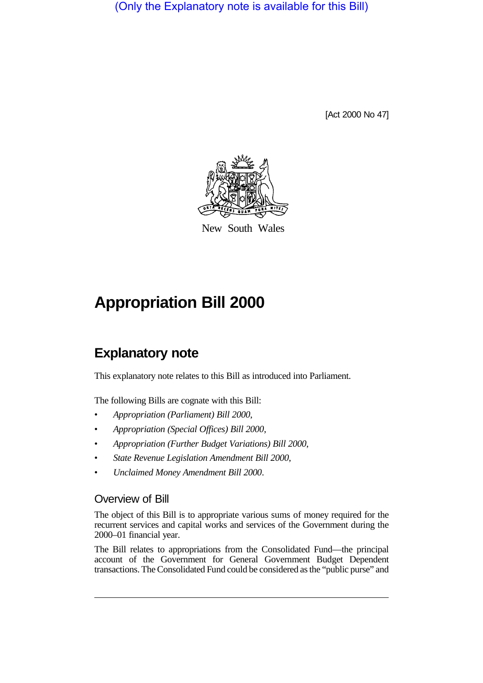(Only the Explanatory note is available for this Bill)

[Act 2000 No 47]



New South Wales

## **Appropriation Bill 2000**

## **Explanatory note**

This explanatory note relates to this Bill as introduced into Parliament.

The following Bills are cognate with this Bill:

- *Appropriation (Parliament) Bill 2000*,
- *Appropriation (Special Offices) Bill 2000*,
- *Appropriation (Further Budget Variations) Bill 2000*,
- *State Revenue Legislation Amendment Bill 2000*,
- *Unclaimed Money Amendment Bill 2000*.

## Overview of Bill

The object of this Bill is to appropriate various sums of money required for the recurrent services and capital works and services of the Government during the 2000–01 financial year.

The Bill relates to appropriations from the Consolidated Fund—the principal account of the Government for General Government Budget Dependent transactions. The Consolidated Fund could be considered as the "public purse" and